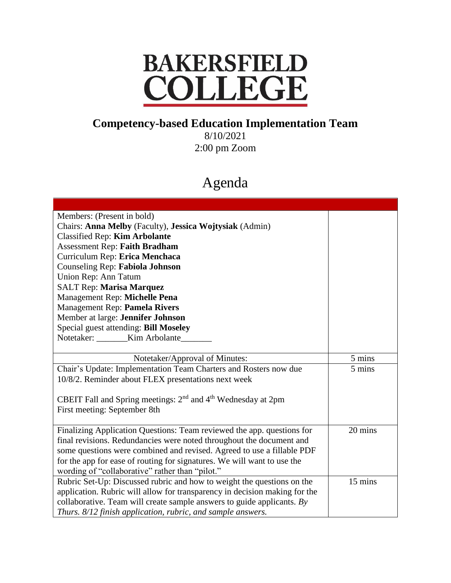## **BAKERSFIELD** COLLEGE

## **Competency-based Education Implementation Team**

8/10/2021 2:00 pm Zoom

## Agenda

| Members: (Present in bold)                                                           |         |
|--------------------------------------------------------------------------------------|---------|
| Chairs: Anna Melby (Faculty), Jessica Wojtysiak (Admin)                              |         |
| <b>Classified Rep: Kim Arbolante</b>                                                 |         |
| <b>Assessment Rep: Faith Bradham</b>                                                 |         |
| Curriculum Rep: Erica Menchaca                                                       |         |
| Counseling Rep: Fabiola Johnson                                                      |         |
| Union Rep: Ann Tatum                                                                 |         |
| SALT Rep: Marisa Marquez                                                             |         |
| Management Rep: Michelle Pena                                                        |         |
| Management Rep: Pamela Rivers                                                        |         |
| Member at large: Jennifer Johnson                                                    |         |
| Special guest attending: Bill Moseley                                                |         |
| Notetaker: _______Kim Arbolante____                                                  |         |
|                                                                                      |         |
| Notetaker/Approval of Minutes:                                                       | 5 mins  |
| Chair's Update: Implementation Team Charters and Rosters now due                     | 5 mins  |
| 10/8/2. Reminder about FLEX presentations next week                                  |         |
|                                                                                      |         |
| CBEIT Fall and Spring meetings: 2 <sup>nd</sup> and 4 <sup>th</sup> Wednesday at 2pm |         |
| First meeting: September 8th                                                         |         |
|                                                                                      |         |
| Finalizing Application Questions: Team reviewed the app. questions for               | 20 mins |
| final revisions. Redundancies were noted throughout the document and                 |         |
| some questions were combined and revised. Agreed to use a fillable PDF               |         |
| for the app for ease of routing for signatures. We will want to use the              |         |
| wording of "collaborative" rather than "pilot."                                      |         |
| Rubric Set-Up: Discussed rubric and how to weight the questions on the               | 15 mins |
| application. Rubric will allow for transparency in decision making for the           |         |
| collaborative. Team will create sample answers to guide applicants. $By$             |         |
| Thurs. 8/12 finish application, rubric, and sample answers.                          |         |